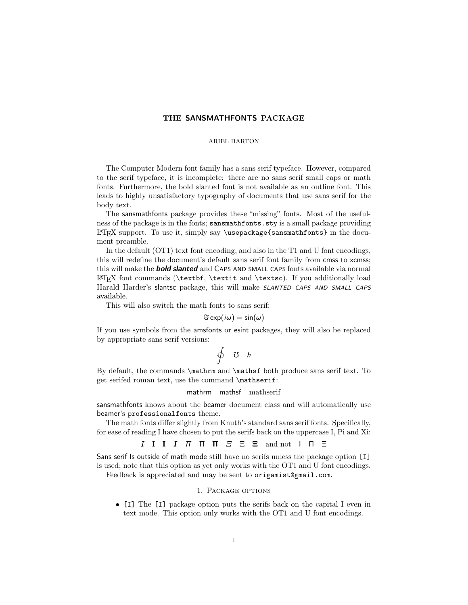# THE SANSMATHFONTS PACKAGE

### ARIEL BARTON

The Computer Modern font family has a sans serif typeface. However, compared to the serif typeface, it is incomplete: there are no sans serif small caps or math fonts. Furthermore, the bold slanted font is not available as an outline font. This leads to highly unsatisfactory typography of documents that use sans serif for the body text.

The sansmathfonts package provides these "missing" fonts. Most of the usefulness of the package is in the fonts; sansmathfonts.sty is a small package providing  $LFT<sub>F</sub>X support. To use it, simply say \usepackage{sansmath fonts} in the docu$ ment preamble.

In the default (OT1) text font encoding, and also in the T1 and U font encodings, this will redefine the document's default sans serif font family from cmss to xcmss; this will make the **bold slanted** and CAPS AND SMALL CAPS fonts available via normal  $\LaTeX\ font\ commands (\textbf{ \textit{ and } \texttt{.} If you additionally load$ Harald Harder's slantsc package, this will make *slanted caps and small caps* available.

This will also switch the math fonts to sans serif:

$$
\Im\exp(i\omega)=\sin(\omega)
$$

If you use symbols from the amsfonts or esint packages, they will also be replaced by appropriate sans serif versions:

$$
\oint \hspace{.1in} \circlearrowleft \hspace{.1in} \hspace{.1in} \hspace{.1in} \hbox{$\hbar$}
$$

By default, the commands \mathrm and \mathsf both produce sans serif text. To get serifed roman text, use the command \mathserif:

mathrm mathsf mathserif

sansmathfonts knows about the beamer document class and will automatically use beamer's professionalfonts theme.

The math fonts differ slightly from Knuth's standard sans serif fonts. Specifically, for ease of reading I have chosen to put the serifs back on the uppercase I, Pi and Xi:

*I I I I Π Π Π Ξ Ξ Ξ* and not I Π Ξ

Sans serif Is outside of math mode still have no serifs unless the package option [I] is used; note that this option as yet only works with the OT1 and U font encodings.

Feedback is appreciated and may be sent to origamist@gmail.com.

# 1. Package options

• [I] The [I] package option puts the serifs back on the capital I even in text mode. This option only works with the OT1 and U font encodings.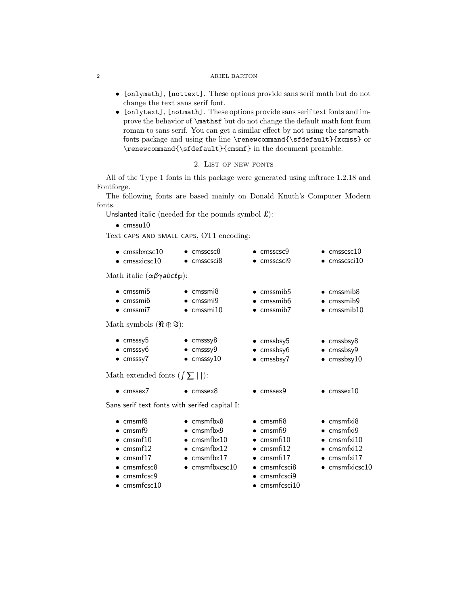### 2 ARIEL BARTON

- [onlymath], [nottext]. These options provide sans serif math but do not change the text sans serif font.
- [onlytext], [notmath]. These options provide sans serif text fonts and improve the behavior of **\mathsf** but do not change the default math font from roman to sans serif. You can get a similar effect by not using the sansmathfonts package and using the line \renewcommand{\sfdefault}{xcmss} or \renewcommand{\sfdefault}{cmsmf} in the document preamble.

# 2. List of new fonts

All of the Type 1 fonts in this package were generated using mftrace 1.2.18 and Fontforge.

The following fonts are based mainly on Donald Knuth's Computer Modern fonts.

Unslanted italic (needed for the pounds symbol  $\pounds$ ):

• cmssu10

Text caps and small caps, OT1 encoding:

| $\bullet$ cmssbxcsc10<br>$\bullet$ cmssxicsc10                                                                                                                    | $\bullet$ cmsscsc8<br>$\bullet$ cmsscsci8                                                                                               | $\bullet$ cmsscsc $9$<br>$\bullet$ cmsscsci9                                                                                                                                       | $\bullet$ cmsscsc10<br>$\bullet$ cmsscsci10                                                                                             |
|-------------------------------------------------------------------------------------------------------------------------------------------------------------------|-----------------------------------------------------------------------------------------------------------------------------------------|------------------------------------------------------------------------------------------------------------------------------------------------------------------------------------|-----------------------------------------------------------------------------------------------------------------------------------------|
| Math italic $(\alpha\beta\gamma abc\ell\wp)$ :                                                                                                                    |                                                                                                                                         |                                                                                                                                                                                    |                                                                                                                                         |
| $\bullet$ cmssmi5<br>$\bullet$ cmssmi6<br>$\bullet$ cmssmi7                                                                                                       | $\bullet$ cmssmi <sub>8</sub><br>$\bullet$ cmssmi9<br>$\bullet$ cmssmi10                                                                | $\bullet$ cmssmib5<br>$\bullet$ cmssmib6<br>$\bullet$ cmssmib7                                                                                                                     | $\bullet$ cmssmib8<br>$\bullet$ cmssmib9<br>$\bullet$ cmssmib10                                                                         |
| Math symbols $(\Re \oplus \Im)$ :                                                                                                                                 |                                                                                                                                         |                                                                                                                                                                                    |                                                                                                                                         |
| $\bullet$ cmsssy5<br>$\bullet$ cmsssy $6$<br>$\bullet$ cmsssy7                                                                                                    | $\bullet$ cmsssy8<br>$\bullet$ cmsssy9<br>$\bullet$ cmsssy10                                                                            | $\bullet$ cmssbsy5<br>$\bullet$ cmssbsy6<br>• cmssbsy7                                                                                                                             | $\bullet$ cmssbsy8<br>· cmssbsy9<br>$\bullet$ cmssbsy10                                                                                 |
| Math extended fonts $(\int \sum \prod)$ :                                                                                                                         |                                                                                                                                         |                                                                                                                                                                                    |                                                                                                                                         |
| $\bullet$ cmssex7                                                                                                                                                 | $\bullet$ cmssex8                                                                                                                       | $\bullet$ cmssex9                                                                                                                                                                  | $\bullet$ cmssex10                                                                                                                      |
| Sans serif text fonts with serifed capital I:                                                                                                                     |                                                                                                                                         |                                                                                                                                                                                    |                                                                                                                                         |
| $\bullet$ cmsmf8<br>$\bullet$ cmsmf9<br>$\bullet$ cmsmf10<br>$\bullet$ cmsmf12<br>$\bullet$ cmsmf17<br>• cmsmfcsc8<br>$\bullet$ cmsmfcsc9<br>$\bullet$ cmsmfcsc10 | $\bullet$ cmsmfbx8<br>$\bullet$ cmsmfbx9<br>$\bullet$ cmsmfbx10<br>$\bullet$ cmsmfbx12<br>$\bullet$ cmsmfbx17<br>$\bullet$ cmsmfbxcsc10 | $\bullet$ cmsmfi $\upbeta$<br>$\bullet$ cmsmfi9<br>$\bullet$ cmsmfi10<br>$\bullet$ cmsmfi12<br>$\bullet$ cmsmfi17<br>• cmsmfcsci8<br>$\bullet$ cmsmfcsci9<br>$\bullet$ cmsmfcsci10 | $\bullet$ cmsmfxi8<br>$\bullet$ cmsmfxi9<br>$\bullet$ cmsmfxi10<br>$\bullet$ cmsmfxi12<br>$\bullet$ cmsmfxi17<br>$\bullet$ cmsmfxicsc10 |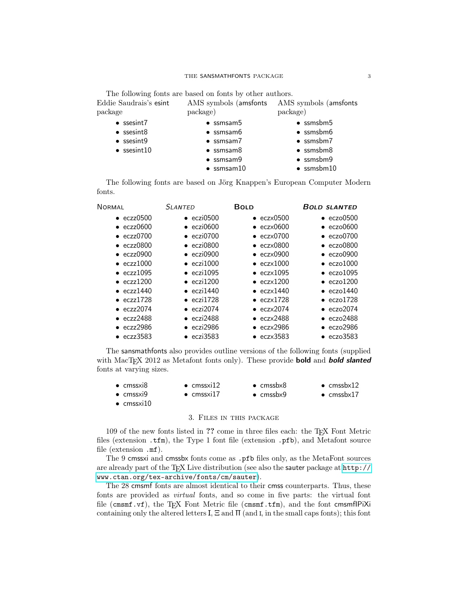#### THE SANSMATHFONTS PACKAGE 3

The following fonts are based on fonts by other authors. Eddie Saudrais's esint package AMS symbols (amsfonts package) AMS symbols (amsfonts package)

| $\bullet$ ssesint7  | $\bullet$ ssmsam5    | $\bullet$ ssmsbm5    |
|---------------------|----------------------|----------------------|
| $\bullet$ ssesint8  | $\bullet$ ssmsam6    | $\bullet$ ssmsbm6    |
| $\bullet$ ssesint9  | $\bullet$ ssmsam $7$ | $\bullet$ ssmsbm7    |
| $\bullet$ ssesint10 | $\bullet$ ssmsam $8$ | $\bullet$ ssmsbm $8$ |
|                     | $\bullet$ ssmsam9    | $\bullet$ ssmsbm9    |
|                     | $\bullet$ ssmsam10   | $\bullet$ ssmsbm10   |
|                     |                      |                      |

The following fonts are based on Jörg Knappen's European Computer Modern fonts.

| NORMAL             | SLANTED            | <b>BOLD</b>        | <b>BOLD SLANTED</b> |
|--------------------|--------------------|--------------------|---------------------|
| $\bullet$ eczz0500 | $\bullet$ eczi0500 | $\bullet$ eczx0500 | $\bullet$ eczo0500  |
| $\bullet$ eczz0600 | $\bullet$ eczi0600 | $\bullet$ eczx0600 | $\bullet$ eczo0600  |
| $\bullet$ eczz0700 | $\bullet$ eczi0700 | $\bullet$ eczx0700 | $\bullet$ eczo0700  |
| $\bullet$ eczz0800 | $\bullet$ eczi0800 | $\bullet$ eczx0800 | $\bullet$ eczo0800  |
| $\bullet$ eczz0900 | $\bullet$ eczi0900 | $\bullet$ eczx0900 | $\bullet$ eczo0900  |
| $\bullet$ eczz1000 | $\bullet$ eczi1000 | $\bullet$ eczx1000 | $\bullet$ eczo1000  |
| $\bullet$ eczz1095 | $\bullet$ eczi1095 | $\bullet$ eczx1095 | $\bullet$ eczo1095  |
| $\bullet$ eczz1200 | $\bullet$ eczi1200 | $\bullet$ eczx1200 | $\bullet$ eczo1200  |
| $\bullet$ eczz1440 | $\bullet$ eczi1440 | $\bullet$ eczx1440 | $\bullet$ eczo1440  |
| $\bullet$ eczz1728 | $\bullet$ eczi1728 | $\bullet$ eczx1728 | $\bullet$ eczo1728  |
| $\bullet$ eczz2074 | $\bullet$ eczi2074 | $\bullet$ eczx2074 | $\bullet$ eczo2074  |
| $\bullet$ eczz2488 | $\bullet$ eczi2488 | $\bullet$ eczx2488 | $\bullet$ eczo2488  |
| $\bullet$ eczz2986 | $\bullet$ eczi2986 | $\bullet$ eczx2986 | $\bullet$ eczo2986  |
| $\bullet$ eczz3583 | $\bullet$ eczi3583 | $\bullet$ eczx3583 | $\bullet$ eczo3583  |

The sansmathfonts also provides outline versions of the following fonts (supplied with  $MacTr[X 2012$  as Metafont fonts only). These provide **bold** and **bold slanted** fonts at varying sizes.

| $\bullet$ cmssxi8 | $\bullet$ cmssxi12 | $\bullet$ cmssbx8 | $\bullet$ cmssbx12 |
|-------------------|--------------------|-------------------|--------------------|
| $\bullet$ cmssxi9 | $\bullet$ cmssxi17 | $\bullet$ cmssbx9 | $\bullet$ cmssbx17 |

• cmssxi10

### 3. Files in this package

109 of the new fonts listed in ?? come in three files each: the TEX Font Metric files (extension .tfm), the Type 1 font file (extension .pfb), and Metafont source file (extension .mf).

The 9 cmssxi and cmssbx fonts come as .pfb files only, as the MetaFont sources are already part of the T<sub>E</sub>X Live distribution (see also the sauter package at [http://](http://www.ctan.org/tex-archive/fonts/cm/sauter) [www.ctan.org/tex-archive/fonts/cm/sauter](http://www.ctan.org/tex-archive/fonts/cm/sauter)).

The 28 cmsmf fonts are almost identical to their cmss counterparts. Thus, these fonts are provided as virtual fonts, and so come in five parts: the virtual font file (cmsmf.vf), the TEX Font Metric file (cmsmf.tfm), and the font cmsmfIPiXi containing only the altered letters *I*, *Ξ* and *Π* (and *i*, in the small caps fonts); this font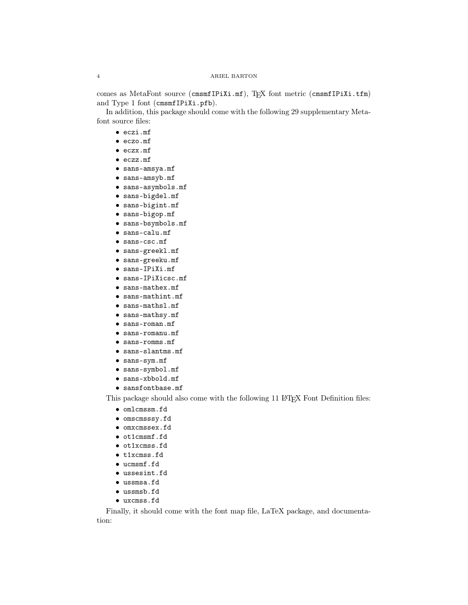## 4 ARIEL BARTON

comes as MetaFont source (cmsmfIPiXi.mf), T<sub>F</sub>X font metric (cmsmfIPiXi.tfm) and Type 1 font (cmsmfIPiXi.pfb).

In addition, this package should come with the following 29 supplementary Metafont source files:

- eczi.mf
- eczo.mf
- eczx.mf
- eczz.mf
- sans-amsya.mf
- sans-amsyb.mf
- sans-asymbols.mf
- sans-bigdel.mf
- sans-bigint.mf
- sans-bigop.mf
- sans-bsymbols.mf
- sans-calu.mf
- sans-csc.mf
- sans-greekl.mf
- sans-greeku.mf
- sans-IPiXi.mf
- sans-IPiXicsc.mf
- sans-mathex.mf
- sans-mathint.mf
- sans-mathsl.mf
- sans-mathsy.mf
- sans-roman.mf
- sans-romanu.mf
- sans-romms.mf
- sans-slantms.mf
- sans-sym.mf
- sans-symbol.mf
- sans-xbbold.mf
- sansfontbase.mf

This package should also come with the following 11 LAT<sub>E</sub>X Font Definition files:

- omlcmssm.fd
- omscmsssy.fd
- omxcmssex.fd
- ot1cmsmf.fd
- ot1xcmss.fd
- t1xcmss.fd
- ucmsmf.fd
- ussesint.fd
- ussmsa.fd
- ussmsb.fd
- uxcmss.fd

Finally, it should come with the font map file, LaTeX package, and documentation: